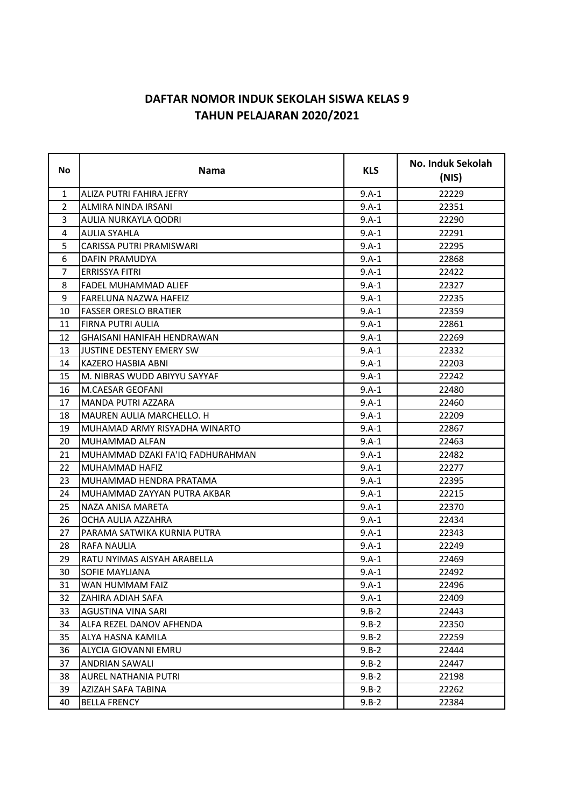## **DAFTAR NOMOR INDUK SEKOLAH SISWA KELAS 9 TAHUN PELAJARAN 2020/2021**

| <b>No</b>      | <b>Nama</b>                      | <b>KLS</b> | No. Induk Sekolah<br>(NIS) |
|----------------|----------------------------------|------------|----------------------------|
| $\mathbf{1}$   | ALIZA PUTRI FAHIRA JEFRY         | $9.A-1$    | 22229                      |
| $\overline{2}$ | ALMIRA NINDA IRSANI              | $9.A-1$    | 22351                      |
| 3              | AULIA NURKAYLA QODRI             | $9.A-1$    | 22290                      |
| 4              | <b>AULIA SYAHLA</b>              | $9.A-1$    | 22291                      |
| 5              | CARISSA PUTRI PRAMISWARI         | 9.A-1      | 22295                      |
| 6              | DAFIN PRAMUDYA                   | $9.A-1$    | 22868                      |
| 7              | <b>ERRISSYA FITRI</b>            | $9.A-1$    | 22422                      |
| 8              | <b>FADEL MUHAMMAD ALIEF</b>      | 9.A-1      | 22327                      |
| 9              | FARELUNA NAZWA HAFEIZ            | $9.A-1$    | 22235                      |
| 10             | <b>FASSER ORESLO BRATIER</b>     | $9.A-1$    | 22359                      |
| 11             | FIRNA PUTRI AULIA                | $9.A-1$    | 22861                      |
| 12             | GHAISANI HANIFAH HENDRAWAN       | $9.A-1$    | 22269                      |
| 13             | JUSTINE DESTENY EMERY SW         | $9.A-1$    | 22332                      |
| 14             | KAZERO HASBIA ABNI               | $9.A-1$    | 22203                      |
| 15             | M. NIBRAS WUDD ABIYYU SAYYAF     | $9.A-1$    | 22242                      |
| 16             | <b>M.CAESAR GEOFANI</b>          | $9.A-1$    | 22480                      |
| 17             | MANDA PUTRI AZZARA               | $9.A-1$    | 22460                      |
| 18             | <b>MAUREN AULIA MARCHELLO. H</b> | $9.A-1$    | 22209                      |
| 19             | MUHAMAD ARMY RISYADHA WINARTO    | $9.A-1$    | 22867                      |
| 20             | MUHAMMAD ALFAN                   | 9.A-1      | 22463                      |
| 21             | MUHAMMAD DZAKI FA'IQ FADHURAHMAN | $9.A-1$    | 22482                      |
| 22             | MUHAMMAD HAFIZ                   | $9.A-1$    | 22277                      |
| 23             | MUHAMMAD HENDRA PRATAMA          | $9.A-1$    | 22395                      |
| 24             | MUHAMMAD ZAYYAN PUTRA AKBAR      | $9.A-1$    | 22215                      |
| 25             | NAZA ANISA MARETA                | $9.A-1$    | 22370                      |
| 26             | OCHA AULIA AZZAHRA               | $9.A-1$    | 22434                      |
| 27             | PARAMA SATWIKA KURNIA PUTRA      | $9.A-1$    | 22343                      |
| 28             | RAFA NAULIA                      | $9.A-1$    | 22249                      |
| 29             | RATU NYIMAS AISYAH ARABELLA      | $9.A-1$    | 22469                      |
| 30             | SOFIE MAYLIANA                   | $9.A-1$    | 22492                      |
| 31             | WAN HUMMAM FAIZ                  | $9.A-1$    | 22496                      |
| 32             | ZAHIRA ADIAH SAFA                | 9.A-1      | 22409                      |
| 33             | AGUSTINA VINA SARI               | $9.B-2$    | 22443                      |
| 34             | ALFA REZEL DANOV AFHENDA         | $9.B-2$    | 22350                      |
| 35             | ALYA HASNA KAMILA                | $9.B-2$    | 22259                      |
| 36             | ALYCIA GIOVANNI EMRU             | $9.B-2$    | 22444                      |
| 37             | <b>ANDRIAN SAWALI</b>            | $9.B-2$    | 22447                      |
| 38             | AUREL NATHANIA PUTRI             | $9.B-2$    | 22198                      |
| 39             | AZIZAH SAFA TABINA               | $9.B-2$    | 22262                      |
| 40             | <b>BELLA FRENCY</b>              | $9.B-2$    | 22384                      |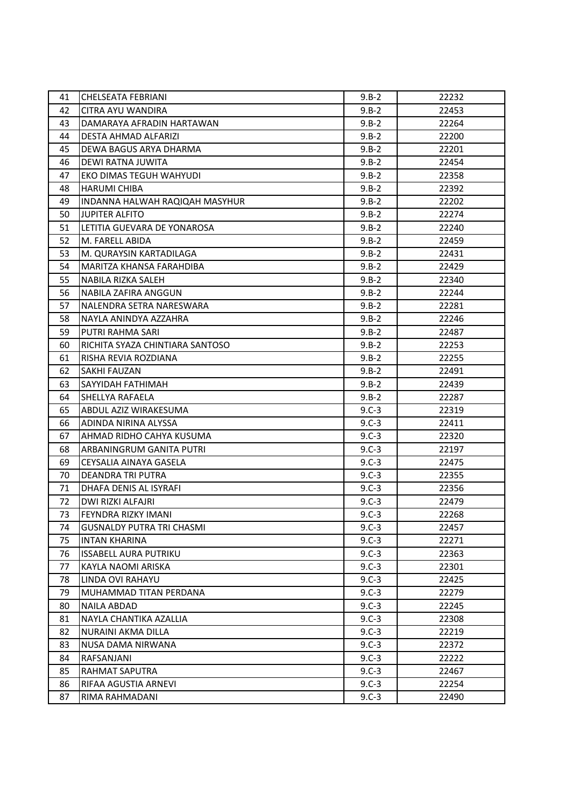| 41 | <b>CHELSEATA FEBRIANI</b>        | $9.B-2$    | 22232 |
|----|----------------------------------|------------|-------|
| 42 | CITRA AYU WANDIRA                | $9.B-2$    | 22453 |
| 43 | DAMARAYA AFRADIN HARTAWAN        | $9.B-2$    | 22264 |
| 44 | DESTA AHMAD ALFARIZI             | $9.B-2$    | 22200 |
| 45 | DEWA BAGUS ARYA DHARMA           | $9.B-2$    | 22201 |
| 46 | DEWI RATNA JUWITA                | $9.B-2$    | 22454 |
| 47 | EKO DIMAS TEGUH WAHYUDI          | $9.B-2$    | 22358 |
| 48 | <b>HARUMI CHIBA</b>              | $9.B-2$    | 22392 |
| 49 | INDANNA HALWAH RAQIQAH MASYHUR   | $9.B-2$    | 22202 |
| 50 | <b>JUPITER ALFITO</b>            | $9.B-2$    | 22274 |
| 51 | LETITIA GUEVARA DE YONAROSA      | $9.B-2$    | 22240 |
| 52 | M. FARELL ABIDA                  | $9.B-2$    | 22459 |
| 53 | M. QURAYSIN KARTADILAGA          | $9.B-2$    | 22431 |
| 54 | MARITZA KHANSA FARAHDIBA         | $9.B-2$    | 22429 |
| 55 | NABILA RIZKA SALEH               | $9.B-2$    | 22340 |
| 56 | NABILA ZAFIRA ANGGUN             | $9.B-2$    | 22244 |
| 57 | NALENDRA SETRA NARESWARA         | $9.B-2$    | 22281 |
| 58 | NAYLA ANINDYA AZZAHRA            | $9.B-2$    | 22246 |
| 59 | PUTRI RAHMA SARI                 | $9.B-2$    | 22487 |
| 60 | RICHITA SYAZA CHINTIARA SANTOSO  | $9.B-2$    | 22253 |
| 61 | RISHA REVIA ROZDIANA             | $9.B-2$    | 22255 |
| 62 | <b>SAKHI FAUZAN</b>              | $9.B-2$    | 22491 |
| 63 | SAYYIDAH FATHIMAH                | $9.B-2$    | 22439 |
| 64 | SHELLYA RAFAELA                  | $9.B-2$    | 22287 |
| 65 | ABDUL AZIZ WIRAKESUMA            | $9. C - 3$ | 22319 |
| 66 | ADINDA NIRINA ALYSSA             | $9.C-3$    | 22411 |
| 67 | AHMAD RIDHO CAHYA KUSUMA         | $9.C-3$    | 22320 |
| 68 | ARBANINGRUM GANITA PUTRI         | $9.C-3$    | 22197 |
| 69 | CEYSALIA AINAYA GASELA           | $9.C-3$    | 22475 |
| 70 | DEANDRA TRI PUTRA                | $9.C-3$    | 22355 |
| 71 | DHAFA DENIS AL ISYRAFI           | $9.C-3$    | 22356 |
| 72 | DWI RIZKI ALFAJRI                | $9.C-3$    | 22479 |
| 73 | FEYNDRA RIZKY IMANI              | $9.C-3$    | 22268 |
| 74 | <b>GUSNALDY PUTRA TRI CHASMI</b> | $9.C-3$    | 22457 |
| 75 | <b>INTAN KHARINA</b>             | $9. C - 3$ | 22271 |
| 76 | <b>ISSABELL AURA PUTRIKU</b>     | $9.C-3$    | 22363 |
| 77 | KAYLA NAOMI ARISKA               | $9.C-3$    | 22301 |
| 78 | LINDA OVI RAHAYU                 | $9.C-3$    | 22425 |
| 79 | MUHAMMAD TITAN PERDANA           | $9. C - 3$ | 22279 |
| 80 | <b>NAILA ABDAD</b>               | $9.C-3$    | 22245 |
| 81 | NAYLA CHANTIKA AZALLIA           | $9.C-3$    | 22308 |
| 82 | NURAINI AKMA DILLA               | $9.C-3$    | 22219 |
| 83 | NUSA DAMA NIRWANA                | $9.C-3$    | 22372 |
| 84 | RAFSANJANI                       | $9.C-3$    | 22222 |
| 85 | RAHMAT SAPUTRA                   | $9.C-3$    | 22467 |
| 86 | RIFAA AGUSTIA ARNEVI             | $9.C-3$    | 22254 |
| 87 | RIMA RAHMADANI                   | $9.C-3$    | 22490 |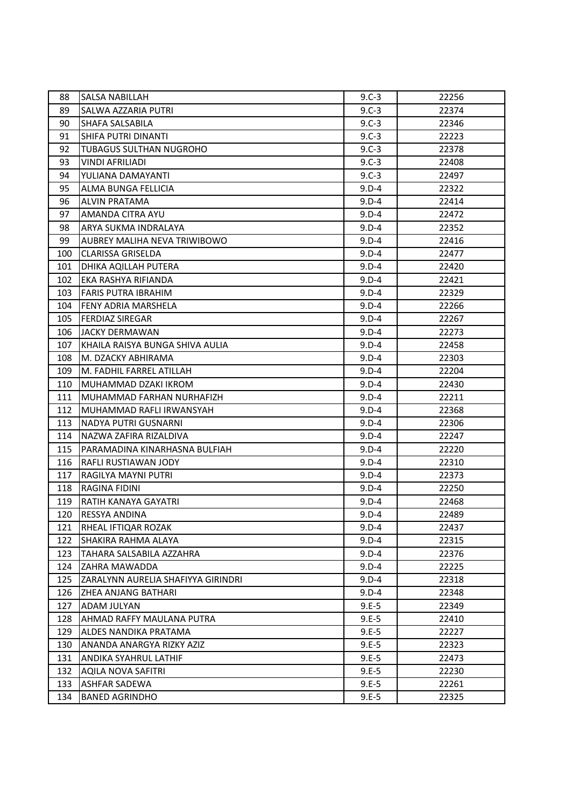| 88  | <b>SALSA NABILLAH</b>              | $9.C-3$    | 22256 |
|-----|------------------------------------|------------|-------|
| 89  | SALWA AZZARIA PUTRI                | $9. C - 3$ | 22374 |
| 90  | SHAFA SALSABILA                    | $9.C-3$    | 22346 |
| 91  | SHIFA PUTRI DINANTI                | $9.C-3$    | 22223 |
| 92  | TUBAGUS SULTHAN NUGROHO            | $9.C-3$    | 22378 |
| 93  | <b>VINDI AFRILIADI</b>             | $9.C-3$    | 22408 |
| 94  | YULIANA DAMAYANTI                  | $9.C-3$    | 22497 |
| 95  | ALMA BUNGA FELLICIA                | $9.D-4$    | 22322 |
| 96  | <b>ALVIN PRATAMA</b>               | $9.D-4$    | 22414 |
| 97  | AMANDA CITRA AYU                   | $9.D-4$    | 22472 |
| 98  | ARYA SUKMA INDRALAYA               | $9.D-4$    | 22352 |
| 99  | AUBREY MALIHA NEVA TRIWIBOWO       | $9.D-4$    | 22416 |
| 100 | <b>CLARISSA GRISELDA</b>           | $9.D-4$    | 22477 |
| 101 | DHIKA AQILLAH PUTERA               | $9.D-4$    | 22420 |
| 102 | EKA RASHYA RIFIANDA                | $9.D-4$    | 22421 |
| 103 | <b>FARIS PUTRA IBRAHIM</b>         | $9.D-4$    | 22329 |
| 104 | FENY ADRIA MARSHELA                | $9.D-4$    | 22266 |
| 105 | <b>FERDIAZ SIREGAR</b>             | $9.D-4$    | 22267 |
| 106 | JACKY DERMAWAN                     | $9.D-4$    | 22273 |
| 107 | KHAILA RAISYA BUNGA SHIVA AULIA    | $9.D-4$    | 22458 |
| 108 | M. DZACKY ABHIRAMA                 | 9.D-4      | 22303 |
| 109 | M. FADHIL FARREL ATILLAH           | 9.D-4      | 22204 |
| 110 | MUHAMMAD DZAKI IKROM               | 9.D-4      | 22430 |
| 111 | MUHAMMAD FARHAN NURHAFIZH          | $9.D-4$    | 22211 |
| 112 | MUHAMMAD RAFLI IRWANSYAH           | $9.D-4$    | 22368 |
| 113 | NADYA PUTRI GUSNARNI               | $9.D-4$    | 22306 |
| 114 | NAZWA ZAFIRA RIZALDIVA             | $9.D-4$    | 22247 |
| 115 | PARAMADINA KINARHASNA BULFIAH      | $9.D-4$    | 22220 |
| 116 | RAFLI RUSTIAWAN JODY               | $9.D-4$    | 22310 |
| 117 | RAGILYA MAYNI PUTRI                | $9.D-4$    | 22373 |
| 118 | RAGINA FIDINI                      | $9.D-4$    | 22250 |
| 119 | RATIH KANAYA GAYATRI               | $9.D-4$    | 22468 |
| 120 | <b>RESSYA ANDINA</b>               | 9.D-4      | 22489 |
| 121 | RHEAL IFTIQAR ROZAK                | $9.D-4$    | 22437 |
| 122 | SHAKIRA RAHMA ALAYA                | $9.D-4$    | 22315 |
| 123 | TAHARA SALSABILA AZZAHRA           | $9.D-4$    | 22376 |
| 124 | ZAHRA MAWADDA                      | $9.D-4$    | 22225 |
| 125 | ZARALYNN AURELIA SHAFIYYA GIRINDRI | $9.D-4$    | 22318 |
| 126 | ZHEA ANJANG BATHARI                | $9.D-4$    | 22348 |
| 127 | ADAM JULYAN                        | $9.E-5$    | 22349 |
| 128 | AHMAD RAFFY MAULANA PUTRA          | $9.E-5$    | 22410 |
| 129 | ALDES NANDIKA PRATAMA              | $9.E-5$    | 22227 |
| 130 | ANANDA ANARGYA RIZKY AZIZ          | $9.E-5$    | 22323 |
| 131 | ANDIKA SYAHRUL LATHIF              | $9.E-5$    | 22473 |
| 132 | <b>AQILA NOVA SAFITRI</b>          | $9.E-5$    | 22230 |
| 133 | ASHFAR SADEWA                      | $9.E-5$    | 22261 |
| 134 | <b>BANED AGRINDHO</b>              | $9.E-5$    | 22325 |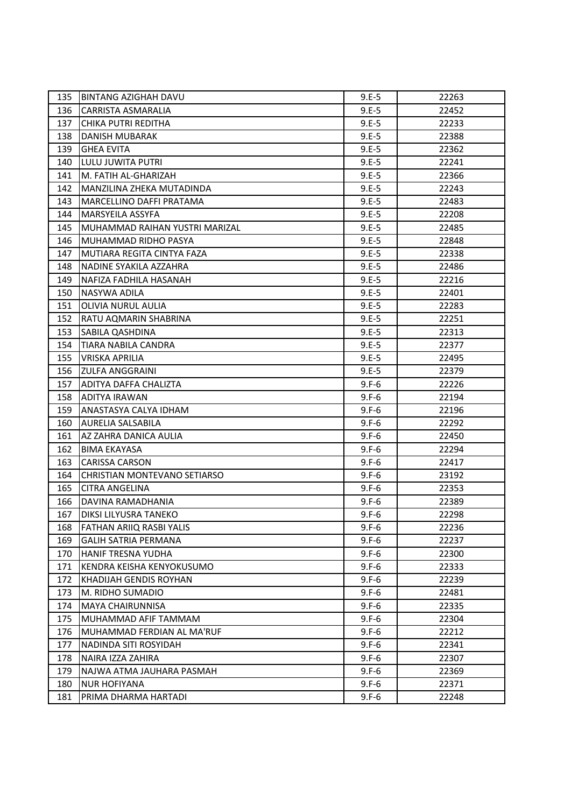| 135 | BINTANG AZIGHAH DAVU                | $9.E-5$ | 22263 |
|-----|-------------------------------------|---------|-------|
| 136 | <b>CARRISTA ASMARALIA</b>           | $9.E-5$ | 22452 |
| 137 | CHIKA PUTRI REDITHA                 | $9.E-5$ | 22233 |
| 138 | DANISH MUBARAK                      | $9.E-5$ | 22388 |
| 139 | <b>GHEA EVITA</b>                   | $9.E-5$ | 22362 |
| 140 | LULU JUWITA PUTRI                   | $9.E-5$ | 22241 |
| 141 | M. FATIH AL-GHARIZAH                | $9.E-5$ | 22366 |
| 142 | MANZILINA ZHEKA MUTADINDA           | $9.E-5$ | 22243 |
| 143 | MARCELLINO DAFFI PRATAMA            | $9.E-5$ | 22483 |
| 144 | <b>MARSYEILA ASSYFA</b>             | $9.E-5$ | 22208 |
| 145 | MUHAMMAD RAIHAN YUSTRI MARIZAL      | $9.E-5$ | 22485 |
| 146 | MUHAMMAD RIDHO PASYA                | $9.E-5$ | 22848 |
| 147 | MUTIARA REGITA CINTYA FAZA          | $9.E-5$ | 22338 |
| 148 | NADINE SYAKILA AZZAHRA              | $9.E-5$ | 22486 |
| 149 | NAFIZA FADHILA HASANAH              | $9.E-5$ | 22216 |
| 150 | NASYWA ADILA                        | $9.E-5$ | 22401 |
| 151 | <b>OLIVIA NURUL AULIA</b>           | $9.E-5$ | 22283 |
| 152 | RATU AQMARIN SHABRINA               | $9.E-5$ | 22251 |
| 153 | SABILA QASHDINA                     | $9.E-5$ | 22313 |
| 154 | TIARA NABILA CANDRA                 | $9.E-5$ | 22377 |
| 155 | <b>VRISKA APRILIA</b>               | $9.E-5$ | 22495 |
| 156 | ZULFA ANGGRAINI                     | $9.E-5$ | 22379 |
| 157 | ADITYA DAFFA CHALIZTA               | $9.F-6$ | 22226 |
| 158 | <b>ADITYA IRAWAN</b>                | $9.F-6$ | 22194 |
| 159 | ANASTASYA CALYA IDHAM               | $9.F-6$ | 22196 |
| 160 | AURELIA SALSABILA                   | $9.F-6$ | 22292 |
| 161 | AZ ZAHRA DANICA AULIA               | $9.F-6$ | 22450 |
| 162 | <b>BIMA EKAYASA</b>                 | $9.F-6$ | 22294 |
| 163 | <b>CARISSA CARSON</b>               | $9.F-6$ | 22417 |
| 164 | <b>CHRISTIAN MONTEVANO SETIARSO</b> | $9.F-6$ | 23192 |
| 165 | CITRA ANGELINA                      | $9.F-6$ | 22353 |
| 166 | DAVINA RAMADHANIA                   | $9.F-6$ | 22389 |
| 167 | DIKSI LILYUSRA TANEKO               | $9.F-6$ | 22298 |
| 168 | FATHAN ARIIQ RASBI YALIS            | $9.F-6$ | 22236 |
| 169 | <b>GALIH SATRIA PERMANA</b>         | $9.F-6$ | 22237 |
| 170 | HANIF TRESNA YUDHA                  | $9.F-6$ | 22300 |
| 171 | KENDRA KEISHA KENYOKUSUMO           | $9.F-6$ | 22333 |
| 172 | KHADIJAH GENDIS ROYHAN              | $9.F-6$ | 22239 |
| 173 | M. RIDHO SUMADIO                    | $9.F-6$ | 22481 |
| 174 | <b>MAYA CHAIRUNNISA</b>             | $9.F-6$ | 22335 |
| 175 | MUHAMMAD AFIF TAMMAM                | $9.F-6$ | 22304 |
| 176 | MUHAMMAD FERDIAN AL MA'RUF          | $9.F-6$ | 22212 |
| 177 | NADINDA SITI ROSYIDAH               | $9.F-6$ | 22341 |
| 178 | NAIRA IZZA ZAHIRA                   | $9.F-6$ | 22307 |
| 179 | NAJWA ATMA JAUHARA PASMAH           | $9.F-6$ | 22369 |
| 180 | <b>NUR HOFIYANA</b>                 | $9.F-6$ | 22371 |
| 181 | PRIMA DHARMA HARTADI                | $9.F-6$ | 22248 |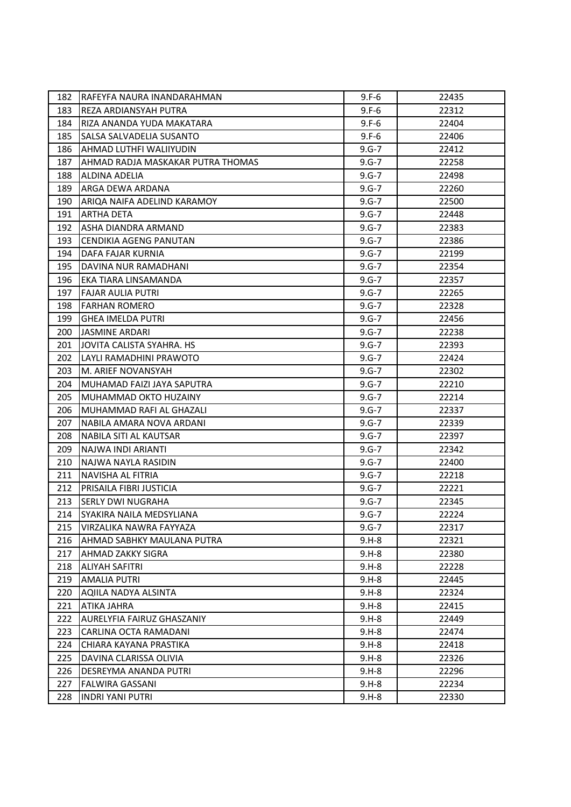| 182 | RAFEYFA NAURA INANDARAHMAN        | $9.F-6$   | 22435 |
|-----|-----------------------------------|-----------|-------|
| 183 | REZA ARDIANSYAH PUTRA             | $9.F-6$   | 22312 |
| 184 | RIZA ANANDA YUDA MAKATARA         | $9.F-6$   | 22404 |
| 185 | SALSA SALVADELIA SUSANTO          | $9.F-6$   | 22406 |
| 186 | AHMAD LUTHFI WALIIYUDIN           | $9.6 - 7$ | 22412 |
| 187 | AHMAD RADJA MASKAKAR PUTRA THOMAS | $9.6 - 7$ | 22258 |
| 188 | ALDINA ADELIA                     | 9.G-7     | 22498 |
| 189 | ARGA DEWA ARDANA                  | $9.6 - 7$ | 22260 |
| 190 | ARIQA NAIFA ADELIND KARAMOY       | $9.6 - 7$ | 22500 |
| 191 | ARTHA DETA                        | $9.6 - 7$ | 22448 |
| 192 | ASHA DIANDRA ARMAND               | $9.6 - 7$ | 22383 |
| 193 | <b>CENDIKIA AGENG PANUTAN</b>     | $9.6 - 7$ | 22386 |
| 194 | DAFA FAJAR KURNIA                 | $9.6 - 7$ | 22199 |
| 195 | DAVINA NUR RAMADHANI              | $9.6 - 7$ | 22354 |
| 196 | EKA TIARA LINSAMANDA              | $9.6 - 7$ | 22357 |
| 197 | FAJAR AULIA PUTRI                 | $9.6 - 7$ | 22265 |
| 198 | <b>FARHAN ROMERO</b>              | $9.6 - 7$ | 22328 |
| 199 | <b>GHEA IMELDA PUTRI</b>          | $9.6 - 7$ | 22456 |
| 200 | JASMINE ARDARI                    | $9.6 - 7$ | 22238 |
| 201 | JOVITA CALISTA SYAHRA. HS         | $9.6 - 7$ | 22393 |
| 202 | LAYLI RAMADHINI PRAWOTO           | $9.6 - 7$ | 22424 |
| 203 | M. ARIEF NOVANSYAH                | $9.6 - 7$ | 22302 |
| 204 | MUHAMAD FAIZI JAYA SAPUTRA        | $9.6 - 7$ | 22210 |
| 205 | MUHAMMAD OKTO HUZAINY             | $9.6 - 7$ | 22214 |
| 206 | MUHAMMAD RAFI AL GHAZALI          | $9.6 - 7$ | 22337 |
| 207 | NABILA AMARA NOVA ARDANI          | $9.6 - 7$ | 22339 |
| 208 | NABILA SITI AL KAUTSAR            | $9.6 - 7$ | 22397 |
| 209 | NAJWA INDI ARIANTI                | $9.6 - 7$ | 22342 |
| 210 | NAJWA NAYLA RASIDIN               | $9.6 - 7$ | 22400 |
| 211 | NAVISHA AL FITRIA                 | $9.6 - 7$ | 22218 |
| 212 | PRISAILA FIBRI JUSTICIA           | $9.6 - 7$ | 22221 |
| 213 | <b>SERLY DWI NUGRAHA</b>          | $9.6 - 7$ | 22345 |
| 214 | SYAKIRA NAILA MEDSYLIANA          | $9.6 - 7$ | 22224 |
| 215 | VIRZALIKA NAWRA FAYYAZA           | $9.6 - 7$ | 22317 |
| 216 | AHMAD SABHKY MAULANA PUTRA        | $9.H-8$   | 22321 |
| 217 | AHMAD ZAKKY SIGRA                 | $9.H-8$   | 22380 |
| 218 | ALIYAH SAFITRI                    | $9.H-8$   | 22228 |
| 219 | <b>AMALIA PUTRI</b>               | $9.H-8$   | 22445 |
| 220 | AQIILA NADYA ALSINTA              | $9.H-8$   | 22324 |
| 221 | ATIKA JAHRA                       | $9.H-8$   | 22415 |
| 222 | AURELYFIA FAIRUZ GHASZANIY        | $9.H-8$   | 22449 |
| 223 | CARLINA OCTA RAMADANI             | $9.H-8$   | 22474 |
| 224 | CHIARA KAYANA PRASTIKA            | $9.H-8$   | 22418 |
| 225 | DAVINA CLARISSA OLIVIA            | $9.H-8$   | 22326 |
| 226 | DESREYMA ANANDA PUTRI             | $9.H-8$   | 22296 |
| 227 | FALWIRA GASSANI                   | $9.H-8$   | 22234 |
| 228 | <b>INDRI YANI PUTRI</b>           | $9.H-8$   | 22330 |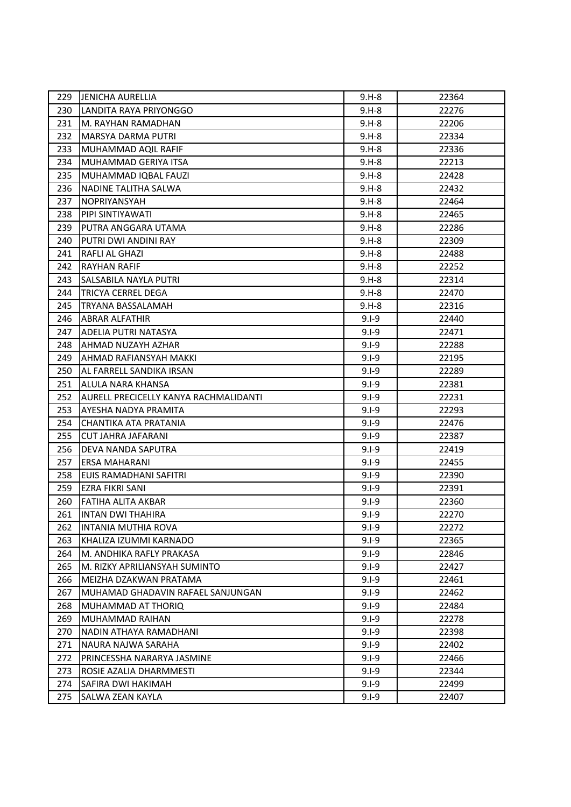| 229 | <b>JENICHA AURELLIA</b>               | $9.H-8$   | 22364 |
|-----|---------------------------------------|-----------|-------|
| 230 | LANDITA RAYA PRIYONGGO                | $9.H-8$   | 22276 |
| 231 | M. RAYHAN RAMADHAN                    | $9.H-8$   | 22206 |
| 232 | <b>MARSYA DARMA PUTRI</b>             | $9.H-8$   | 22334 |
| 233 | MUHAMMAD AQIL RAFIF                   | $9.H-8$   | 22336 |
| 234 | MUHAMMAD GERIYA ITSA                  | $9.H-8$   | 22213 |
| 235 | MUHAMMAD IQBAL FAUZI                  | $9.H-8$   | 22428 |
| 236 | NADINE TALITHA SALWA                  | $9.H-8$   | 22432 |
| 237 | NOPRIYANSYAH                          | $9.H-8$   | 22464 |
| 238 | PIPI SINTIYAWATI                      | $9.H-8$   | 22465 |
| 239 | PUTRA ANGGARA UTAMA                   | $9.H-8$   | 22286 |
| 240 | PUTRI DWI ANDINI RAY                  | $9.H-8$   | 22309 |
| 241 | RAFLI AL GHAZI                        | $9.H-8$   | 22488 |
| 242 | RAYHAN RAFIF                          | $9.H-8$   | 22252 |
| 243 | SALSABILA NAYLA PUTRI                 | $9.H-8$   | 22314 |
| 244 | TRICYA CERREL DEGA                    | $9.H-8$   | 22470 |
| 245 | TRYANA BASSALAMAH                     | $9.H-8$   | 22316 |
| 246 | ABRAR ALFATHIR                        | $9.1 - 9$ | 22440 |
| 247 | ADELIA PUTRI NATASYA                  | $9.1 - 9$ | 22471 |
| 248 | AHMAD NUZAYH AZHAR                    | $9.1 - 9$ | 22288 |
| 249 | AHMAD RAFIANSYAH MAKKI                | $9.1 - 9$ | 22195 |
| 250 | AL FARRELL SANDIKA IRSAN              | $9.1 - 9$ | 22289 |
| 251 | ALULA NARA KHANSA                     | $9.1 - 9$ | 22381 |
| 252 | AURELL PRECICELLY KANYA RACHMALIDANTI | $9.1 - 9$ | 22231 |
| 253 | AYESHA NADYA PRAMITA                  | $9.1 - 9$ | 22293 |
| 254 | CHANTIKA ATA PRATANIA                 | $9.1 - 9$ | 22476 |
| 255 | <b>CUT JAHRA JAFARANI</b>             | $9.1 - 9$ | 22387 |
| 256 | DEVA NANDA SAPUTRA                    | $9.1 - 9$ | 22419 |
| 257 | ERSA MAHARANI                         | $9.1 - 9$ | 22455 |
| 258 | EUIS RAMADHANI SAFITRI                | $9.1 - 9$ | 22390 |
| 259 | EZRA FIKRI SANI                       | $9.1 - 9$ | 22391 |
| 260 | FATIHA ALITA AKBAR                    | $9.1 - 9$ | 22360 |
| 261 | <b>INTAN DWI THAHIRA</b>              | $9.1 - 9$ | 22270 |
| 262 | INTANIA MUTHIA ROVA                   | $9.1 - 9$ | 22272 |
| 263 | KHALIZA IZUMMI KARNADO                | $9.1 - 9$ | 22365 |
| 264 | M. ANDHIKA RAFLY PRAKASA              | $9.1 - 9$ | 22846 |
| 265 | M. RIZKY APRILIANSYAH SUMINTO         | $9.1 - 9$ | 22427 |
| 266 | MEIZHA DZAKWAN PRATAMA                | $9.1 - 9$ | 22461 |
| 267 | MUHAMAD GHADAVIN RAFAEL SANJUNGAN     | $9.1 - 9$ | 22462 |
| 268 | MUHAMMAD AT THORIQ                    | $9.1 - 9$ | 22484 |
| 269 | MUHAMMAD RAIHAN                       | $9.1 - 9$ | 22278 |
| 270 | NADIN ATHAYA RAMADHANI                | $9.1 - 9$ | 22398 |
| 271 | NAURA NAJWA SARAHA                    | $9.1 - 9$ | 22402 |
| 272 | PRINCESSHA NARARYA JASMINE            | $9.1 - 9$ | 22466 |
| 273 | ROSIE AZALIA DHARMMESTI               | $9.1 - 9$ | 22344 |
| 274 | SAFIRA DWI HAKIMAH                    | $9.1 - 9$ | 22499 |
| 275 | SALWA ZEAN KAYLA                      | $9.1 - 9$ | 22407 |